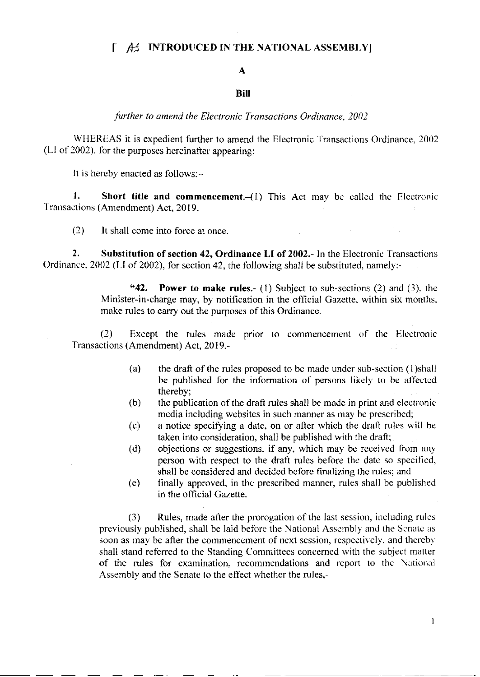## $\int A_2 f$  INTRODUCED IN THE NATIONAL ASSEMBLY

#### A

### BiII

further to amend the Electronic Transactions Ordinance, 2002

WHEREAS it is expedient further to amend the Electronic Transactions Ordinance, 2002 (Ll of 2002). Ibr the purposes hereinafter appearing;

It is hereby enacted as follows:-

1. Short title and commencement.  $(1)$  This Act may be called the Electronic Transactions (Amendment) Act, 2019.

 $(2)$  lt shall come into force at once.

2. Substitution of section 42, Ordinance LI of 2002.- In the Electronic Transactions Ordinance, 2002 (LI of 2002), for section 42, the following shall be substituted, namely:-

> "42. Power to make rules.- (1) Subject to sub-sections (2) and (3), the Minister-in-charge may, by notification in the official Gazette, within six months, make rules to carry out the purposes of this Ordinance.

(2) Except the rules made prior to commencement of the Electronic Transactions (Amendment) Act, 2019,-

- (a) the draft of the rules proposed to be made under sub-section  $(1)$ shall be published for the information of persons likely to be affected thereby;
- (b) the publication of the draft rules shall be made in print and elcctronic media including websites in such manner as may be prescribed;
- $(c)$  a notice specifying a date, on or after which the draft rules will be taken into consideration. shall be published with the dratt;
- (d) objections or suggestions, if any, which may be received from any person with respect to the draft rules before the date so specified, shall be considered and decided before finalizing the rules; and
- (e) finally approved. in thc prescribed manner, rules shall be published in the official Gazette.

(3) Rules, made after the prorogation of the last session, including rules previously published, shall be laid before the National Assembly and the Senate as soon as may be after the commencement of next session, respectively, and thereby shall stand referred to the Standing Committees concerned with the subject matter of the rules for examination, recommendations and report to the National Assembly and the Senate to the effect whether the rules,-

 $\mathbf{1}$